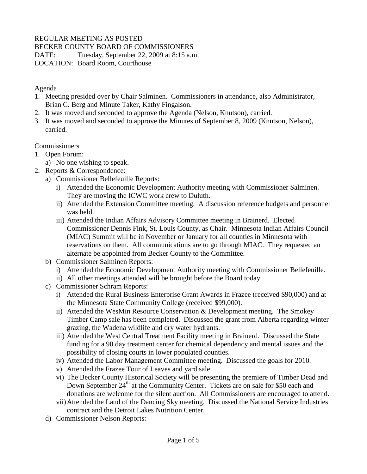# REGULAR MEETING AS POSTED

BECKER COUNTY BOARD OF COMMISSIONERS

DATE: Tuesday, September 22, 2009 at 8:15 a.m.

LOCATION: Board Room, Courthouse

Agenda

- 1. Meeting presided over by Chair Salminen. Commissioners in attendance, also Administrator, Brian C. Berg and Minute Taker, Kathy Fingalson.
- 2. It was moved and seconded to approve the Agenda (Nelson, Knutson), carried.
- 3. It was moved and seconded to approve the Minutes of September 8, 2009 (Knutson, Nelson), carried.

**Commissioners** 

- 1. Open Forum:
	- a) No one wishing to speak.
- 2. Reports & Correspondence:
	- a) Commissioner Bellefeuille Reports:
		- i) Attended the Economic Development Authority meeting with Commissioner Salminen. They are moving the ICWC work crew to Duluth.
		- ii) Attended the Extension Committee meeting. A discussion reference budgets and personnel was held.
		- iii) Attended the Indian Affairs Advisory Committee meeting in Brainerd. Elected Commissioner Dennis Fink, St. Louis County, as Chair. Minnesota Indian Affairs Council (MIAC) Summit will be in November or January for all counties in Minnesota with reservations on them. All communications are to go through MIAC. They requested an alternate be appointed from Becker County to the Committee.
	- b) Commissioner Salminen Reports:
		- i) Attended the Economic Development Authority meeting with Commissioner Bellefeuille.
		- ii) All other meetings attended will be brought before the Board today.
	- c) Commissioner Schram Reports:
		- i) Attended the Rural Business Enterprise Grant Awards in Frazee (received \$90,000) and at the Minnesota State Community College (received \$99,000).
		- ii) Attended the WesMin Resource Conservation & Development meeting. The Smokey Timber Camp sale has been completed. Discussed the grant from Alberta regarding winter grazing, the Wadena wildlife and dry water hydrants.
		- iii) Attended the West Central Treatment Facility meeting in Brainerd. Discussed the State funding for a 90 day treatment center for chemical dependency and mental issues and the possibility of closing courts in lower populated counties.
		- iv) Attended the Labor Management Committee meeting. Discussed the goals for 2010.
		- v) Attended the Frazee Tour of Leaves and yard sale.
		- vi) The Becker County Historical Society will be presenting the premiere of Timber Dead and Down September 24<sup>th</sup> at the Community Center. Tickets are on sale for \$50 each and donations are welcome for the silent auction. All Commissioners are encouraged to attend.
		- vii)Attended the Land of the Dancing Sky meeting. Discussed the National Service Industries contract and the Detroit Lakes Nutrition Center.
	- d) Commissioner Nelson Reports: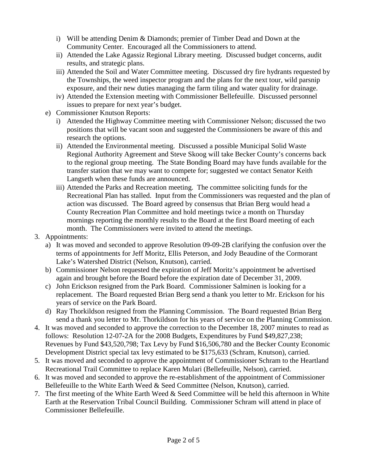- i) Will be attending Denim & Diamonds; premier of Timber Dead and Down at the Community Center. Encouraged all the Commissioners to attend.
- ii) Attended the Lake Agassiz Regional Library meeting. Discussed budget concerns, audit results, and strategic plans.
- iii) Attended the Soil and Water Committee meeting. Discussed dry fire hydrants requested by the Townships, the weed inspector program and the plans for the next tour, wild parsnip exposure, and their new duties managing the farm tiling and water quality for drainage.
- iv) Attended the Extension meeting with Commissioner Bellefeuille. Discussed personnel issues to prepare for next year's budget.
- e) Commissioner Knutson Reports:
	- i) Attended the Highway Committee meeting with Commissioner Nelson; discussed the two positions that will be vacant soon and suggested the Commissioners be aware of this and research the options.
	- ii) Attended the Environmental meeting. Discussed a possible Municipal Solid Waste Regional Authority Agreement and Steve Skoog will take Becker County's concerns back to the regional group meeting. The State Bonding Board may have funds available for the transfer station that we may want to compete for; suggested we contact Senator Keith Langseth when these funds are announced.
	- iii) Attended the Parks and Recreation meeting. The committee soliciting funds for the Recreational Plan has stalled. Input from the Commissioners was requested and the plan of action was discussed. The Board agreed by consensus that Brian Berg would head a County Recreation Plan Committee and hold meetings twice a month on Thursday mornings reporting the monthly results to the Board at the first Board meeting of each month. The Commissioners were invited to attend the meetings.
- 3. Appointments:
	- a) It was moved and seconded to approve Resolution 09-09-2B clarifying the confusion over the terms of appointments for Jeff Moritz, Ellis Peterson, and Jody Beaudine of the Cormorant Lake's Watershed District (Nelson, Knutson), carried.
	- b) Commissioner Nelson requested the expiration of Jeff Moritz's appointment be advertised again and brought before the Board before the expiration date of December 31, 2009.
	- c) John Erickson resigned from the Park Board. Commissioner Salminen is looking for a replacement. The Board requested Brian Berg send a thank you letter to Mr. Erickson for his years of service on the Park Board.
	- d) Ray Thorkildson resigned from the Planning Commission. The Board requested Brian Berg send a thank you letter to Mr. Thorkildson for his years of service on the Planning Commission.
- 4. It was moved and seconded to approve the correction to the December 18, 2007 minutes to read as follows: Resolution 12-07-2A for the 2008 Budgets, Expenditures by Fund \$49,827,238; Revenues by Fund \$43,520,798; Tax Levy by Fund \$16,506,780 and the Becker County Economic Development District special tax levy estimated to be \$175,633 (Schram, Knutson), carried.
- 5. It was moved and seconded to approve the appointment of Commissioner Schram to the Heartland Recreational Trail Committee to replace Karen Mulari (Bellefeuille, Nelson), carried.
- 6. It was moved and seconded to approve the re-establishment of the appointment of Commissioner Bellefeuille to the White Earth Weed & Seed Committee (Nelson, Knutson), carried.
- 7. The first meeting of the White Earth Weed & Seed Committee will be held this afternoon in White Earth at the Reservation Tribal Council Building. Commissioner Schram will attend in place of Commissioner Bellefeuille.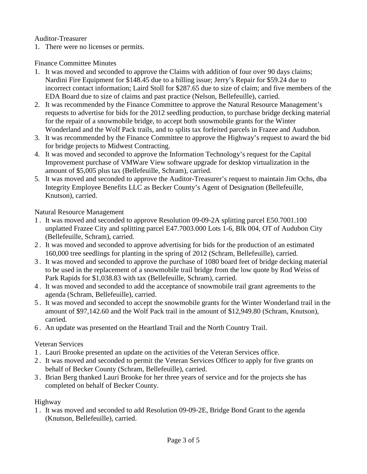#### Auditor-Treasurer

1. There were no licenses or permits.

### Finance Committee Minutes

- 1. It was moved and seconded to approve the Claims with addition of four over 90 days claims; Nardini Fire Equipment for \$148.45 due to a billing issue; Jerry's Repair for \$59.24 due to incorrect contact information; Laird Stoll for \$287.65 due to size of claim; and five members of the EDA Board due to size of claims and past practice (Nelson, Bellefeuille), carried.
- 2. It was recommended by the Finance Committee to approve the Natural Resource Management's requests to advertise for bids for the 2012 seedling production, to purchase bridge decking material for the repair of a snowmobile bridge, to accept both snowmobile grants for the Winter Wonderland and the Wolf Pack trails, and to splits tax forfeited parcels in Frazee and Audubon.
- 3. It was recommended by the Finance Committee to approve the Highway's request to award the bid for bridge projects to Midwest Contracting.
- 4. It was moved and seconded to approve the Information Technology's request for the Capital Improvement purchase of VMWare View software upgrade for desktop virtualization in the amount of \$5,005 plus tax (Bellefeuille, Schram), carried.
- 5. It was moved and seconded to approve the Auditor-Treasurer's request to maintain Jim Ochs, dba Integrity Employee Benefits LLC as Becker County's Agent of Designation (Bellefeuille, Knutson), carried.

Natural Resource Management

- 1 . It was moved and seconded to approve Resolution 09-09-2A splitting parcel E50.7001.100 unplatted Frazee City and splitting parcel E47.7003.000 Lots 1-6, Blk 004, OT of Audubon City (Bellefeuille, Schram), carried.
- 2 . It was moved and seconded to approve advertising for bids for the production of an estimated 160,000 tree seedlings for planting in the spring of 2012 (Schram, Bellefeuille), carried.
- 3 . It was moved and seconded to approve the purchase of 1080 board feet of bridge decking material to be used in the replacement of a snowmobile trail bridge from the low quote by Rod Weiss of Park Rapids for \$1,038.83 with tax (Bellefeuille, Schram), carried.
- 4 . It was moved and seconded to add the acceptance of snowmobile trail grant agreements to the agenda (Schram, Bellefeuille), carried.
- 5 . It was moved and seconded to accept the snowmobile grants for the Winter Wonderland trail in the amount of \$97,142.60 and the Wolf Pack trail in the amount of \$12,949.80 (Schram, Knutson), carried.
- 6 . An update was presented on the Heartland Trail and the North Country Trail.

## Veteran Services

- 1 . Lauri Brooke presented an update on the activities of the Veteran Services office.
- 2 . It was moved and seconded to permit the Veteran Services Officer to apply for five grants on behalf of Becker County (Schram, Bellefeuille), carried.
- 3 . Brian Berg thanked Lauri Brooke for her three years of service and for the projects she has completed on behalf of Becker County.

## Highway

1 . It was moved and seconded to add Resolution 09-09-2E, Bridge Bond Grant to the agenda (Knutson, Bellefeuille), carried.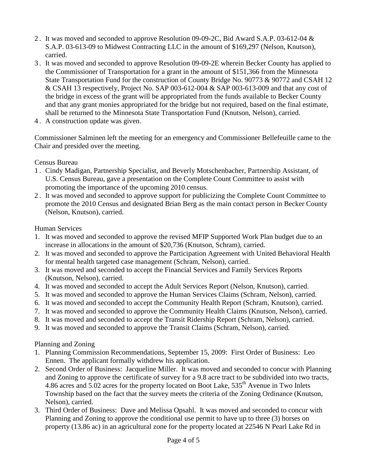- 2 . It was moved and seconded to approve Resolution 09-09-2C, Bid Award S.A.P. 03-612-04 & S.A.P. 03-613-09 to Midwest Contracting LLC in the amount of \$169,297 (Nelson, Knutson), carried.
- 3 . It was moved and seconded to approve Resolution 09-09-2E wherein Becker County has applied to the Commissioner of Transportation for a grant in the amount of \$151,366 from the Minnesota State Transportation Fund for the construction of County Bridge No. 90773 & 90772 and CSAH 12 & CSAH 13 respectively, Project No. SAP 003-612-004 & SAP 003-613-009 and that any cost of the bridge in excess of the grant will be appropriated from the funds available to Becker County and that any grant monies appropriated for the bridge but not required, based on the final estimate, shall be returned to the Minnesota State Transportation Fund (Knutson, Nelson), carried.
- 4 . A construction update was given.

Commissioner Salminen left the meeting for an emergency and Commissioner Bellefeuille came to the Chair and presided over the meeting.

Census Bureau

- 1 . Cindy Madigan, Partnership Specialist, and Beverly Motschenbacher, Partnership Assistant, of U.S. Census Bureau, gave a presentation on the Complete Count Committee to assist with promoting the importance of the upcoming 2010 census.
- 2 . It was moved and seconded to approve support for publicizing the Complete Count Committee to promote the 2010 Census and designated Brian Berg as the main contact person in Becker County (Nelson, Knutson), carried.

Human Services

- 1. It was moved and seconded to approve the revised MFIP Supported Work Plan budget due to an increase in allocations in the amount of \$20,736 (Knutson, Schram), carried.
- 2. It was moved and seconded to approve the Participation Agreement with United Behavioral Health for mental health targeted case management (Schram, Nelson), carried.
- 3. It was moved and seconded to accept the Financial Services and Family Services Reports (Knutson, Nelson), carried.
- 4. It was moved and seconded to accept the Adult Services Report (Nelson, Knutson), carried.
- 5. It was moved and seconded to approve the Human Services Claims (Schram, Nelson), carried.
- 6. It was moved and seconded to accept the Community Health Report (Schram, Knutson), carried.
- 7. It was moved and seconded to approve the Community Health Claims (Knutson, Nelson), carried.
- 8. It was moved and seconded to accept the Transit Ridership Report (Schram, Nelson), carried.
- 9. It was moved and seconded to approve the Transit Claims (Schram, Nelson), carried.

Planning and Zoning

- 1. Planning Commission Recommendations, September 15, 2009: First Order of Business: Leo Ennen. The applicant formally withdrew his application.
- 2. Second Order of Business: Jacqueline Miller. It was moved and seconded to concur with Planning and Zoning to approve the certificate of survey for a 9.8 acre tract to be subdivided into two tracts, 4.86 acres and 5.02 acres for the property located on Boot Lake, 535<sup>th</sup> Avenue in Two Inlets Township based on the fact that the survey meets the criteria of the Zoning Ordinance (Knutson, Nelson), carried.
- 3. Third Order of Business: Dave and Melissa Opsahl. It was moved and seconded to concur with Planning and Zoning to approve the conditional use permit to have up to three (3) horses on property (13.86 ac) in an agricultural zone for the property located at 22546 N Pearl Lake Rd in